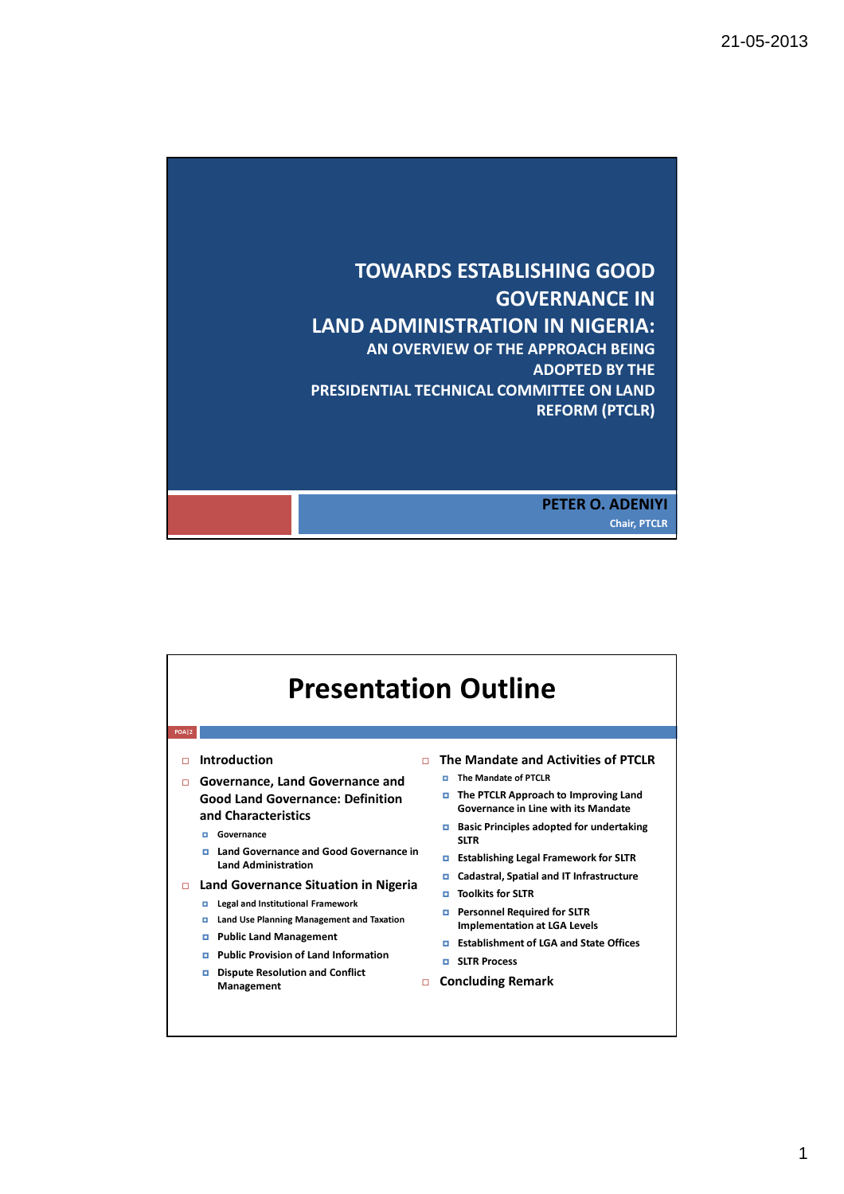

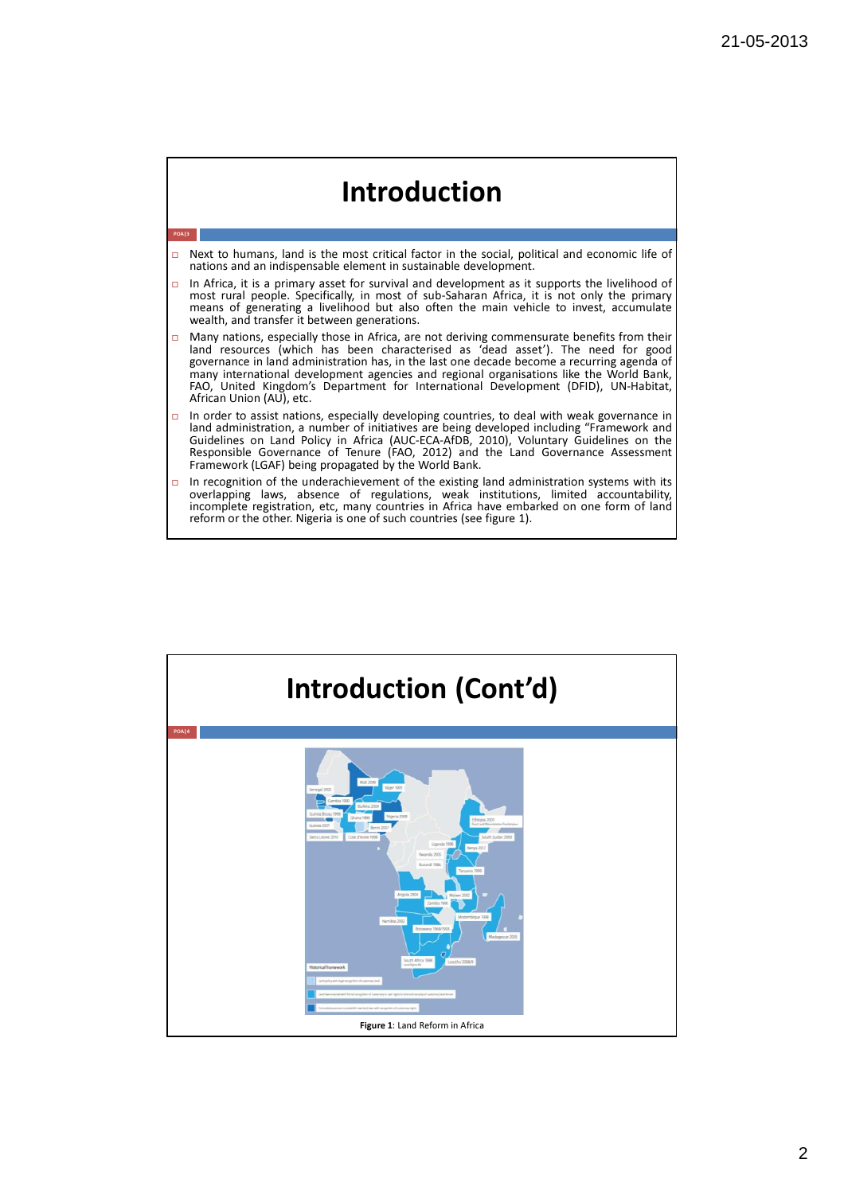

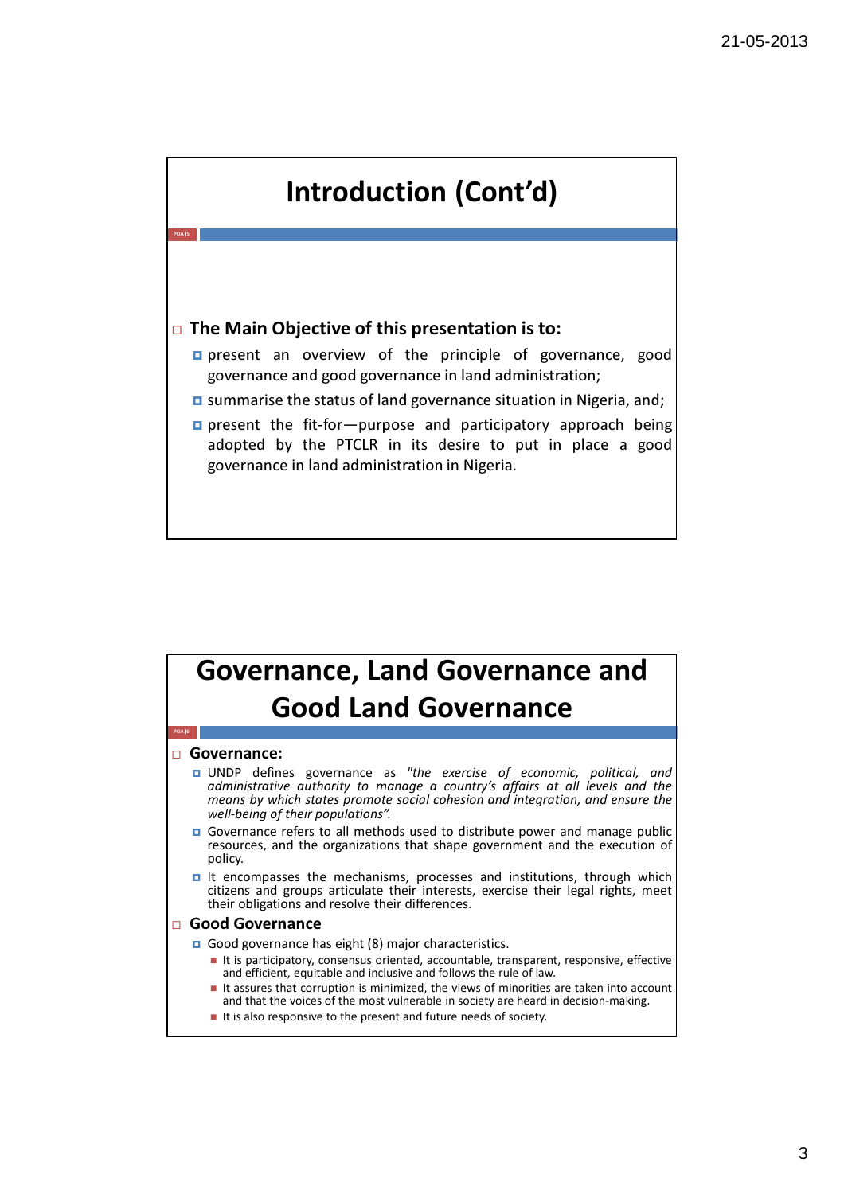

#### Governance, Land Governance and Good Land Governance POA|6

#### □ Governance:

- **D** UNDP defines governance as "the exercise of economic, political, and administrative authority to manage a country's affairs at all levels and the means by which states promote social cohesion and integration, and ensure the well-being of their populations".
- Governance refers to all methods used to distribute power and manage public resources, and the organizations that shape government and the execution of policy.
- It encompasses the mechanisms, processes and institutions, through which citizens and groups articulate their interests, exercise their legal rights, meet their obligations and resolve their differences.

#### □ Good Governance

Good governance has eight (8) major characteristics.

- It is participatory, consensus oriented, accountable, transparent, responsive, effective and efficient, equitable and inclusive and follows the rule of law.
- It assures that corruption is minimized, the views of minorities are taken into account and that the voices of the most vulnerable in society are heard in decision-making.
- $\blacksquare$  It is also responsive to the present and future needs of society.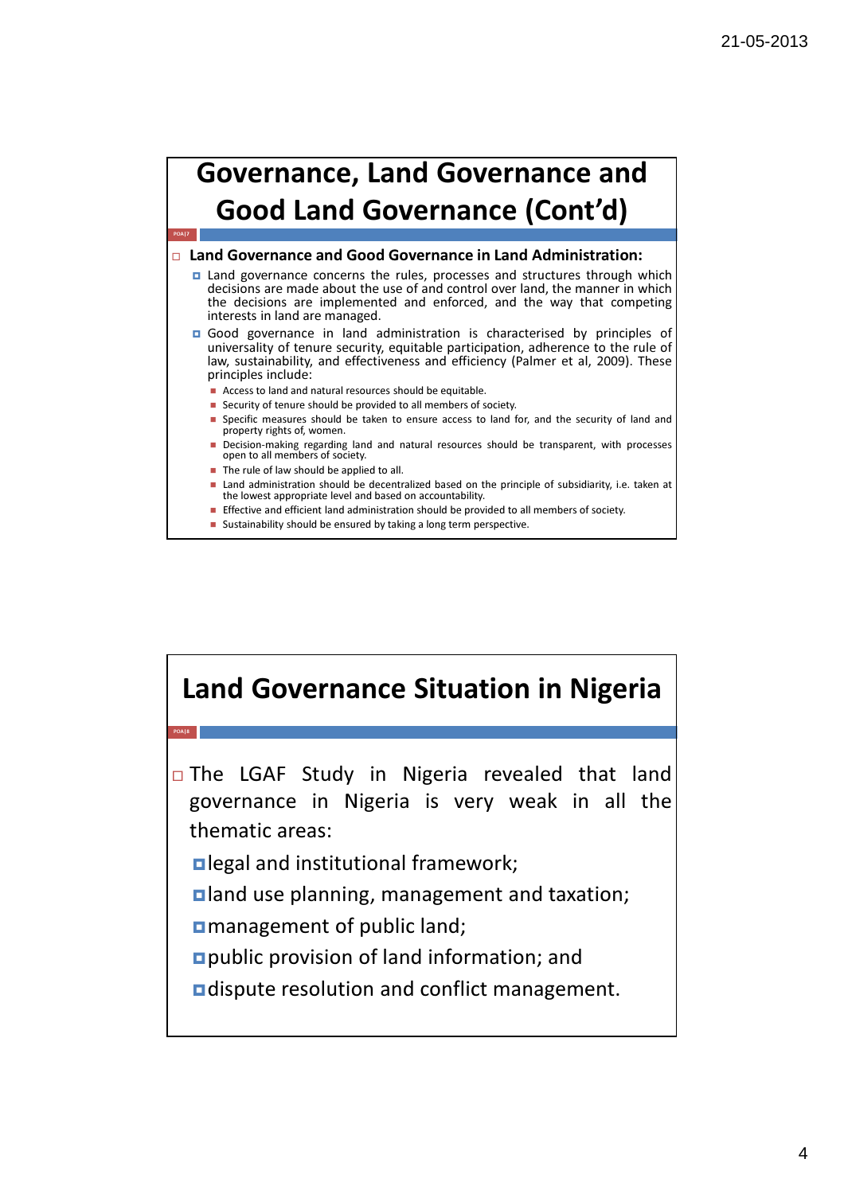

#### □ Land Governance and Good Governance in Land Administration:

- $\Box$  Land governance concerns the rules, processes and structures through which decisions are made about the use of and control over land, the manner in which the decisions are implemented and enforced, and the way that competing interests in land are managed.
- Good governance in land administration is characterised by principles of universality of tenure security, equitable participation, adherence to the rule of law, sustainability, and effectiveness and efficiency (Palmer et al, 2009). These principles include:
	- **Access to land and natural resources should be equitable.**
	- **Security of tenure should be provided to all members of society.**
	- **Specific measures should be taken to ensure access to land for, and the security of land and** property rights of, women.
	- **Decision-making regarding land and natural resources should be transparent, with processes** open to all members of society.
	- The rule of law should be applied to all.
	- **Land administration should be decentralized based on the principle of subsidiarity, i.e. taken at** the lowest appropriate level and based on accountability.
	- **Effective and efficient land administration should be provided to all members of society.**
	- **Sustainability should be ensured by taking a long term perspective.**

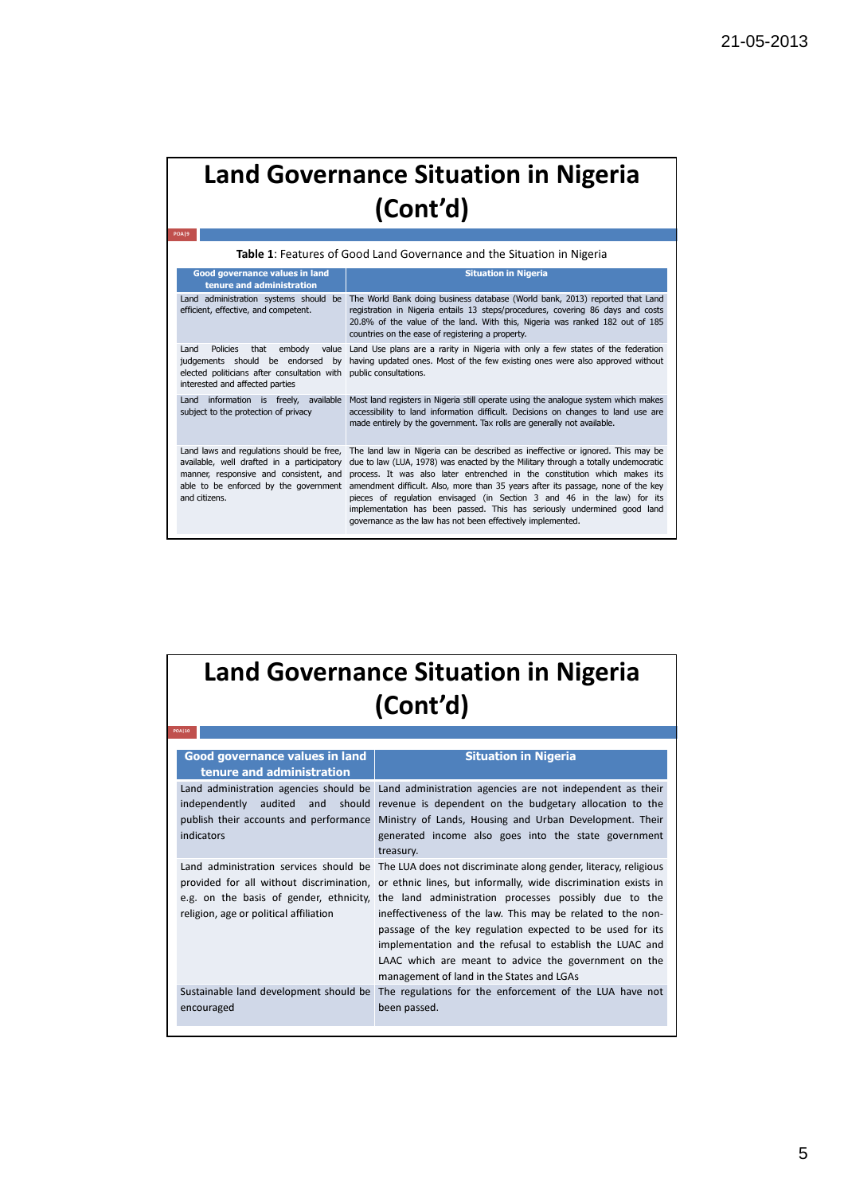| Table 1: Features of Good Land Governance and the Situation in Nigeria                                                                                                   |                                                                                                                                                                                                                                                                                                                                                                                                                                                                                                                                                                                                  |  |
|--------------------------------------------------------------------------------------------------------------------------------------------------------------------------|--------------------------------------------------------------------------------------------------------------------------------------------------------------------------------------------------------------------------------------------------------------------------------------------------------------------------------------------------------------------------------------------------------------------------------------------------------------------------------------------------------------------------------------------------------------------------------------------------|--|
| <b>Good governance values in land</b><br>tenure and administration                                                                                                       | <b>Situation in Nigeria</b>                                                                                                                                                                                                                                                                                                                                                                                                                                                                                                                                                                      |  |
| Land administration systems should<br>be<br>efficient, effective, and competent.                                                                                         | The World Bank doing business database (World bank, 2013) reported that Land<br>registration in Nigeria entails 13 steps/procedures, covering 86 days and costs<br>20.8% of the value of the land. With this, Nigeria was ranked 182 out of 185<br>countries on the ease of registering a property.                                                                                                                                                                                                                                                                                              |  |
| <b>Policies</b><br>Land<br>that<br>embody<br>value<br>judgements should be endorsed by<br>elected politicians after consultation with<br>interested and affected parties | Land Use plans are a rarity in Nigeria with only a few states of the federation<br>having updated ones. Most of the few existing ones were also approved without<br>public consultations.                                                                                                                                                                                                                                                                                                                                                                                                        |  |
| information is freely, available<br>Land<br>subject to the protection of privacy                                                                                         | Most land registers in Nigeria still operate using the analogue system which makes<br>accessibility to land information difficult. Decisions on changes to land use are<br>made entirely by the government. Tax rolls are generally not available.                                                                                                                                                                                                                                                                                                                                               |  |
| Land laws and regulations should be free,<br>available, well drafted in a participatory<br>manner, responsive and consistent, and<br>and citizens.                       | The land law in Nigeria can be described as ineffective or ignored. This may be<br>due to law (LUA, 1978) was enacted by the Military through a totally undemocratic<br>process. It was also later entrenched in the constitution which makes its<br>able to be enforced by the government amendment difficult. Also, more than 35 years after its passage, none of the key<br>pieces of regulation envisaged (in Section 3 and 46 in the law) for its<br>implementation has been passed. This has seriously undermined good land<br>governance as the law has not been effectively implemented. |  |

| <b>Land Governance Situation in Nigeria</b><br>(Cont'd)                      |                                                                                                                                                                                                                                                                                                                                                                                                                                                                                                                                                                                                                 |  |
|------------------------------------------------------------------------------|-----------------------------------------------------------------------------------------------------------------------------------------------------------------------------------------------------------------------------------------------------------------------------------------------------------------------------------------------------------------------------------------------------------------------------------------------------------------------------------------------------------------------------------------------------------------------------------------------------------------|--|
| <b>POA110</b><br>Good governance values in land<br>tenure and administration | <b>Situation in Nigeria</b>                                                                                                                                                                                                                                                                                                                                                                                                                                                                                                                                                                                     |  |
| independently<br>indicators                                                  | Land administration agencies should be Land administration agencies are not independent as their<br>audited and should revenue is dependent on the budgetary allocation to the<br>publish their accounts and performance Ministry of Lands, Housing and Urban Development. Their<br>generated income also goes into the state government<br>treasury.                                                                                                                                                                                                                                                           |  |
| religion, age or political affiliation                                       | Land administration services should be The LUA does not discriminate along gender, literacy, religious<br>provided for all without discrimination, or ethnic lines, but informally, wide discrimination exists in<br>e.g. on the basis of gender, ethnicity, the land administration processes possibly due to the<br>ineffectiveness of the law. This may be related to the non-<br>passage of the key regulation expected to be used for its<br>implementation and the refusal to establish the LUAC and<br>LAAC which are meant to advice the government on the<br>management of land in the States and LGAs |  |
| Sustainable land development should be<br>encouraged                         | The regulations for the enforcement of the LUA have not<br>been passed.                                                                                                                                                                                                                                                                                                                                                                                                                                                                                                                                         |  |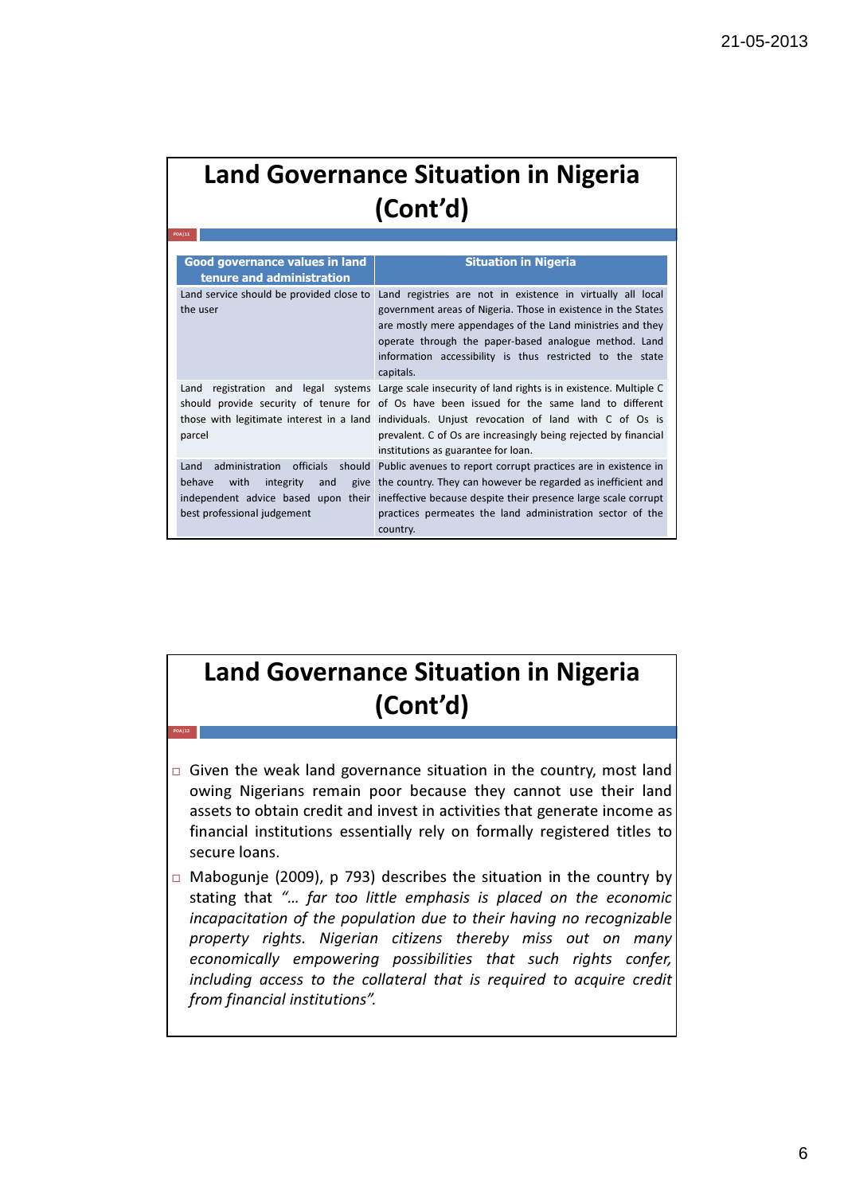POA|11

POA|12

| Good governance values in land<br>tenure and administration               | <b>Situation in Nigeria</b>                                                                                                                                                                                                                                                                                                                                                                                  |
|---------------------------------------------------------------------------|--------------------------------------------------------------------------------------------------------------------------------------------------------------------------------------------------------------------------------------------------------------------------------------------------------------------------------------------------------------------------------------------------------------|
| Land service should be provided close to<br>the user                      | Land registries are not in existence in virtually all local<br>government areas of Nigeria. Those in existence in the States<br>are mostly mere appendages of the Land ministries and they<br>operate through the paper-based analogue method. Land<br>information accessibility is thus restricted to the state<br>capitals.                                                                                |
| Land<br>parcel                                                            | registration and legal systems Large scale insecurity of land rights is in existence. Multiple C<br>should provide security of tenure for of Os have been issued for the same land to different<br>those with legitimate interest in a land individuals. Unjust revocation of land with C of Os is<br>prevalent. C of Os are increasingly being rejected by financial<br>institutions as guarantee for loan. |
| Land<br>behave<br>with<br>integrity<br>and<br>best professional judgement | administration officials should Public avenues to report corrupt practices are in existence in<br>give the country. They can however be regarded as inefficient and<br>independent advice based upon their ineffective because despite their presence large scale corrupt<br>practices permeates the land administration sector of the<br>country.                                                           |

### Land Governance Situation in Nigeria (Cont'd)

- Given the weak land governance situation in the country, most land owing Nigerians remain poor because they cannot use their land assets to obtain credit and invest in activities that generate income as financial institutions essentially rely on formally registered titles to secure loans.
- $\Box$  Mabogunje (2009), p 793) describes the situation in the country by stating that "… far too little emphasis is placed on the economic incapacitation of the population due to their having no recognizable property rights. Nigerian citizens thereby miss out on many economically empowering possibilities that such rights confer, including access to the collateral that is required to acquire credit from financial institutions".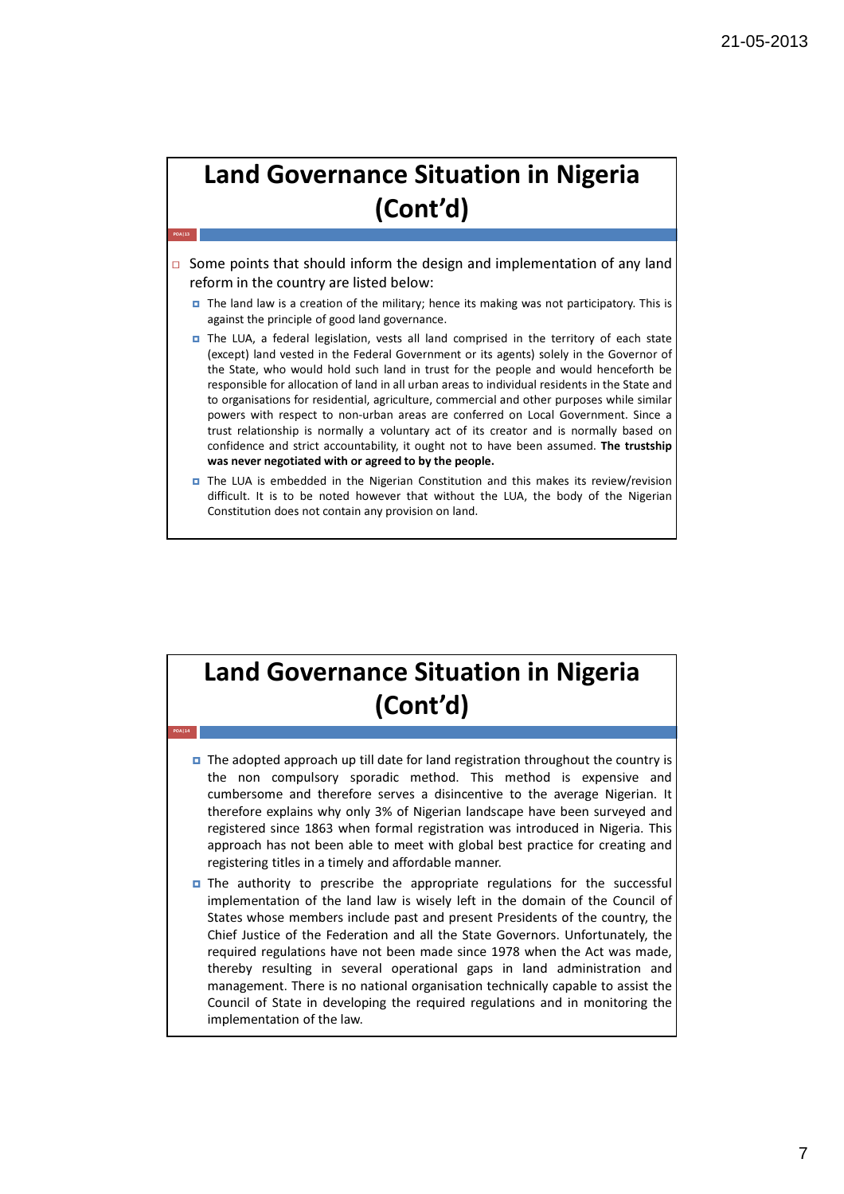$\Box$  Some points that should inform the design and implementation of any land reform in the country are listed below:

POA|13

POA|14

- The land law is a creation of the military; hence its making was not participatory. This is against the principle of good land governance.
- The LUA, a federal legislation, vests all land comprised in the territory of each state (except) land vested in the Federal Government or its agents) solely in the Governor of the State, who would hold such land in trust for the people and would henceforth be responsible for allocation of land in all urban areas to individual residents in the State and to organisations for residential, agriculture, commercial and other purposes while similar powers with respect to non-urban areas are conferred on Local Government. Since a trust relationship is normally a voluntary act of its creator and is normally based on confidence and strict accountability, it ought not to have been assumed. The trustship was never negotiated with or agreed to by the people.
- The LUA is embedded in the Nigerian Constitution and this makes its review/revision difficult. It is to be noted however that without the LUA, the body of the Nigerian Constitution does not contain any provision on land.

## Land Governance Situation in Nigeria (Cont'd)

- $\Box$  The adopted approach up till date for land registration throughout the country is the non compulsory sporadic method. This method is expensive and cumbersome and therefore serves a disincentive to the average Nigerian. It therefore explains why only 3% of Nigerian landscape have been surveyed and registered since 1863 when formal registration was introduced in Nigeria. This approach has not been able to meet with global best practice for creating and registering titles in a timely and affordable manner.
- $\Box$  The authority to prescribe the appropriate regulations for the successful implementation of the land law is wisely left in the domain of the Council of States whose members include past and present Presidents of the country, the Chief Justice of the Federation and all the State Governors. Unfortunately, the required regulations have not been made since 1978 when the Act was made, thereby resulting in several operational gaps in land administration and management. There is no national organisation technically capable to assist the Council of State in developing the required regulations and in monitoring the implementation of the law.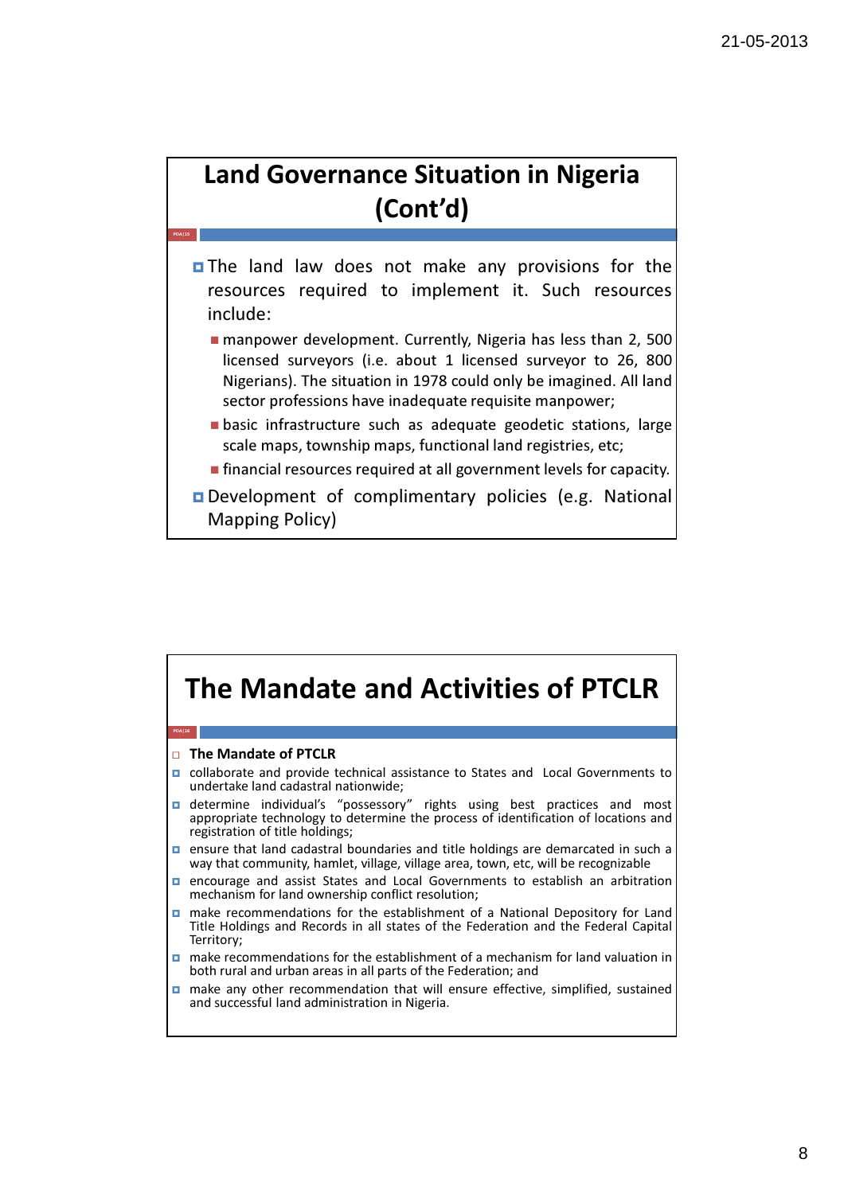POA|15

- **The land law does not make any provisions for the** resources required to implement it. Such resources include:
	- manpower development. Currently, Nigeria has less than 2, 500 licensed surveyors (i.e. about 1 licensed surveyor to 26, 800 Nigerians). The situation in 1978 could only be imagined. All land sector professions have inadequate requisite manpower:
	- basic infrastructure such as adequate geodetic stations, large scale maps, township maps, functional land registries, etc;
	- **financial resources required at all government levels for capacity.**
- **Development of complimentary policies (e.g. National** Mapping Policy)

#### The Mandate and Activities of PTCLR □ The Mandate of PTCLR **p** collaborate and provide technical assistance to States and Local Governments to undertake land cadastral nationwide; determine individual's "possessory" rights using best practices and most appropriate technology to determine the process of identification of locations and POA|16

- registration of title holdings; **n** ensure that land cadastral boundaries and title holdings are demarcated in such a way that community, hamlet, village, village area, town, etc, will be recognizable
- **D** encourage and assist States and Local Governments to establish an arbitration mechanism for land ownership conflict resolution;
- make recommendations for the establishment of a National Depository for Land Title Holdings and Records in all states of the Federation and the Federal Capital Territory;
- make recommendations for the establishment of a mechanism for land valuation in both rural and urban areas in all parts of the Federation; and
- make any other recommendation that will ensure effective, simplified, sustained and successful land administration in Nigeria.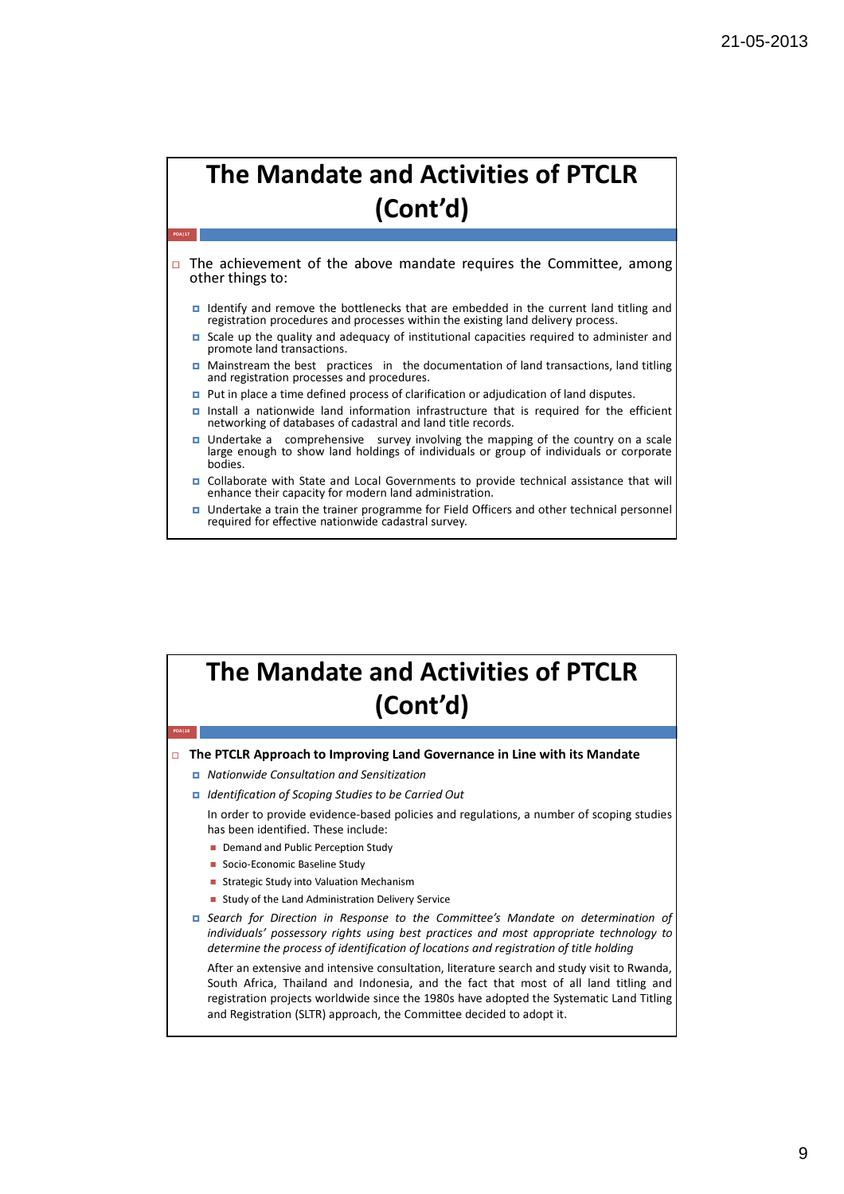$\Box$  The achievement of the above mandate requires the Committee, among other things to:

- Identify and remove the bottlenecks that are embedded in the current land titling and registration procedures and processes within the existing land delivery process.
- Scale up the quality and adequacy of institutional capacities required to administer and promote land transactions.
- $\Box$  Mainstream the best practices in the documentation of land transactions, land titling and registration processes and procedures.
- **Put in place a time defined process of clarification or adjudication of land disputes.**
- Install a nationwide land information infrastructure that is required for the efficient networking of databases of cadastral and land title records.
- □ Undertake a comprehensive survey involving the mapping of the country on a scale large enough to show land holdings of individuals or group of individuals or corporate bodies.
- Collaborate with State and Local Governments to provide technical assistance that will enhance their capacity for modern land administration.
- Undertake a train the trainer programme for Field Officers and other technical personnel required for effective nationwide cadastral survey.

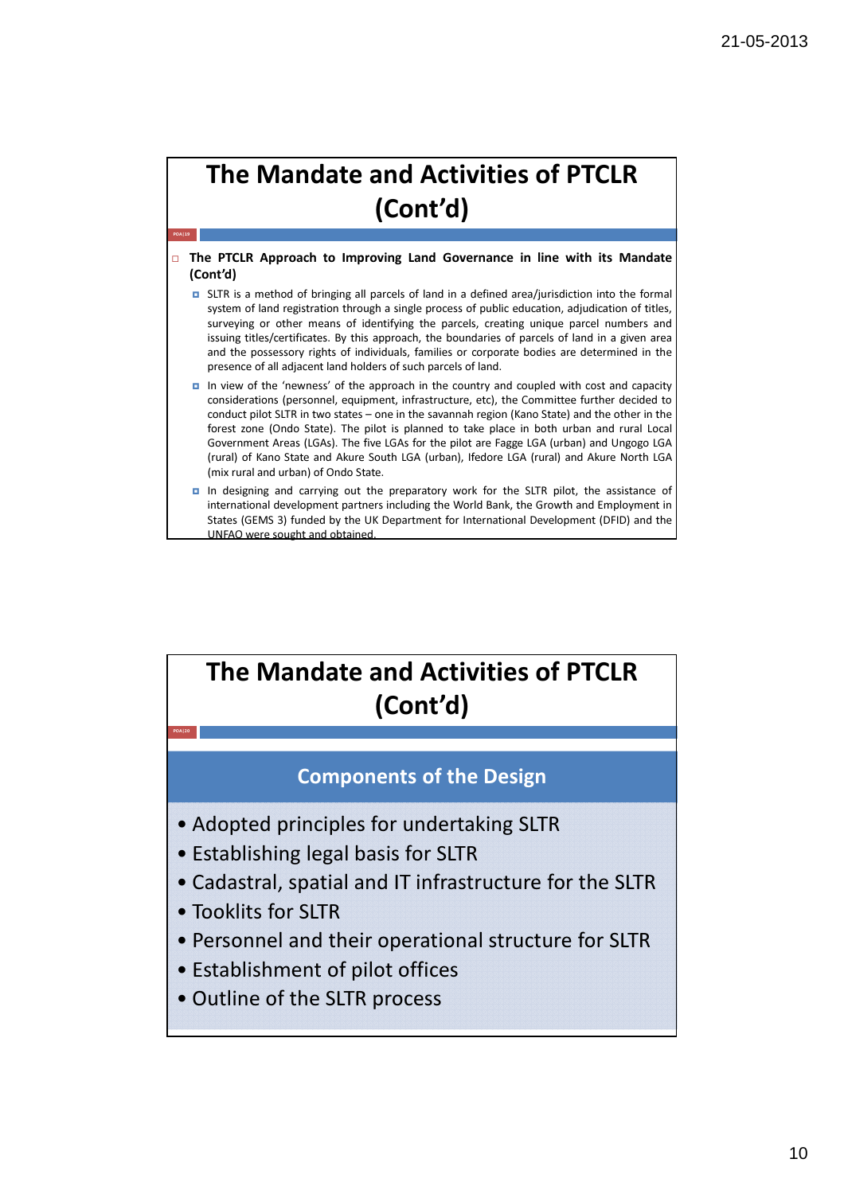#### $\Box$  The PTCLR Approach to Improving Land Governance in line with its Mandate (Cont'd)

- SLTR is a method of bringing all parcels of land in a defined area/jurisdiction into the formal system of land registration through a single process of public education, adjudication of titles, surveying or other means of identifying the parcels, creating unique parcel numbers and issuing titles/certificates. By this approach, the boundaries of parcels of land in a given area and the possessory rights of individuals, families or corporate bodies are determined in the presence of all adjacent land holders of such parcels of land.
- In view of the 'newness' of the approach in the country and coupled with cost and capacity considerations (personnel, equipment, infrastructure, etc), the Committee further decided to conduct pilot SLTR in two states – one in the savannah region (Kano State) and the other in the forest zone (Ondo State). The pilot is planned to take place in both urban and rural Local Government Areas (LGAs). The five LGAs for the pilot are Fagge LGA (urban) and Ungogo LGA (rural) of Kano State and Akure South LGA (urban), Ifedore LGA (rural) and Akure North LGA (mix rural and urban) of Ondo State.
- In designing and carrying out the preparatory work for the SLTR pilot, the assistance of international development partners including the World Bank, the Growth and Employment in States (GEMS 3) funded by the UK Department for International Development (DFID) and the UNFAO were sought and obtained.

## The Mandate and Activities of PTCLR (Cont'd)

#### Components of the Design

- Adopted principles for undertaking SLTR
- Establishing legal basis for SLTR
- Cadastral, spatial and IT infrastructure for the SLTR
- Tooklits for SLTR

POA|19

- Personnel and their operational structure for SLTR
- Establishment of pilot offices
- Outline of the SLTR process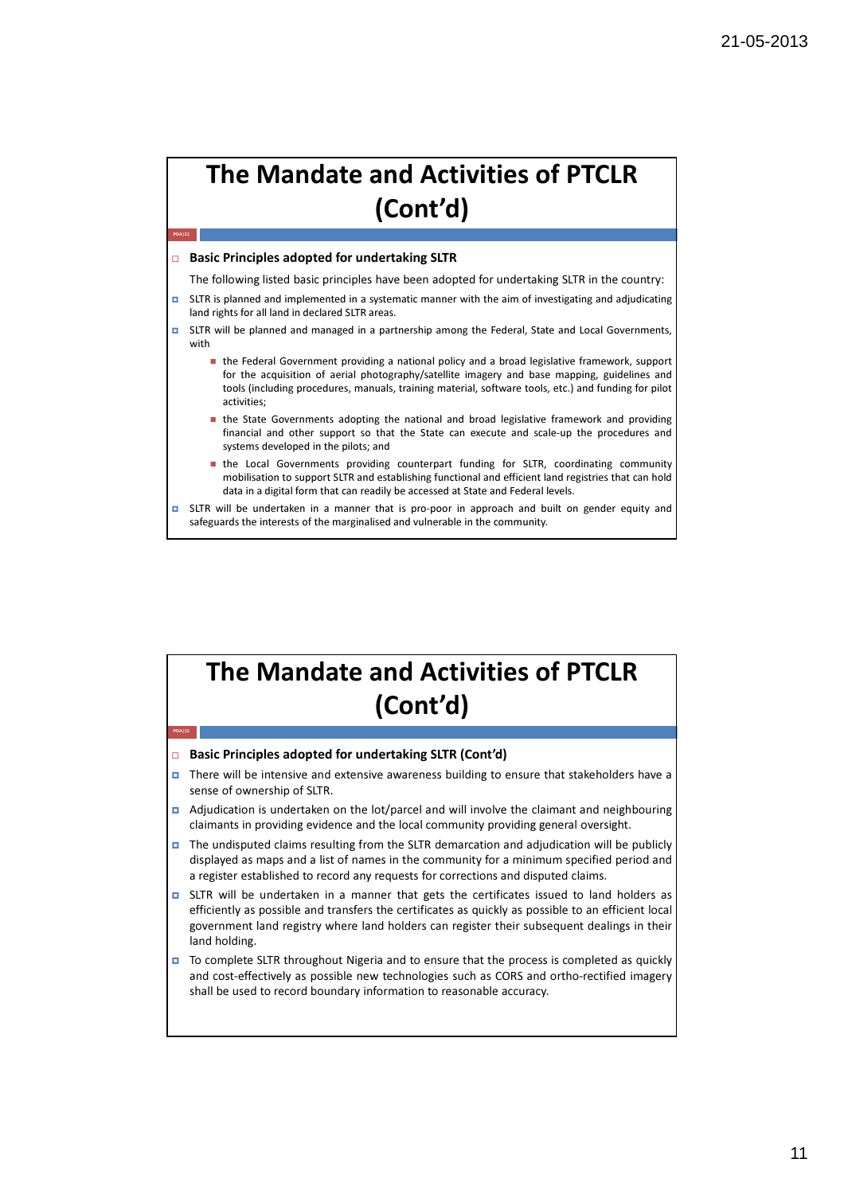#### $\Box$  Basic Principles adopted for undertaking SLTR

POA|21

POA|22

The following listed basic principles have been adopted for undertaking SLTR in the country:

- SLTR is planned and implemented in a systematic manner with the aim of investigating and adjudicating land rights for all land in declared SLTR areas.
- SLTR will be planned and managed in a partnership among the Federal, State and Local Governments, with
	- the Federal Government providing a national policy and a broad legislative framework, support for the acquisition of aerial photography/satellite imagery and base mapping, guidelines and tools (including procedures, manuals, training material, software tools, etc.) and funding for pilot activities;
	- **In** the State Governments adopting the national and broad legislative framework and providing financial and other support so that the State can execute and scale-up the procedures and systems developed in the pilots; and
	- **In the Local Governments providing counterpart funding for SLTR, coordinating community** mobilisation to support SLTR and establishing functional and efficient land registries that can hold data in a digital form that can readily be accessed at State and Federal levels.
- SLTR will be undertaken in a manner that is pro-poor in approach and built on gender equity and safeguards the interests of the marginalised and vulnerable in the community.

### The Mandate and Activities of PTCLR (Cont'd)

#### $\Box$  Basic Principles adopted for undertaking SLTR (Cont'd)

- There will be intensive and extensive awareness building to ensure that stakeholders have a sense of ownership of SLTR.
- $\Box$  Adjudication is undertaken on the lot/parcel and will involve the claimant and neighbouring claimants in providing evidence and the local community providing general oversight.
- $\Box$  The undisputed claims resulting from the SLTR demarcation and adjudication will be publicly displayed as maps and a list of names in the community for a minimum specified period and a register established to record any requests for corrections and disputed claims.
- $\Box$  SLTR will be undertaken in a manner that gets the certificates issued to land holders as efficiently as possible and transfers the certificates as quickly as possible to an efficient local government land registry where land holders can register their subsequent dealings in their land holding.
- $\Box$  To complete SLTR throughout Nigeria and to ensure that the process is completed as quickly and cost-effectively as possible new technologies such as CORS and ortho-rectified imagery shall be used to record boundary information to reasonable accuracy.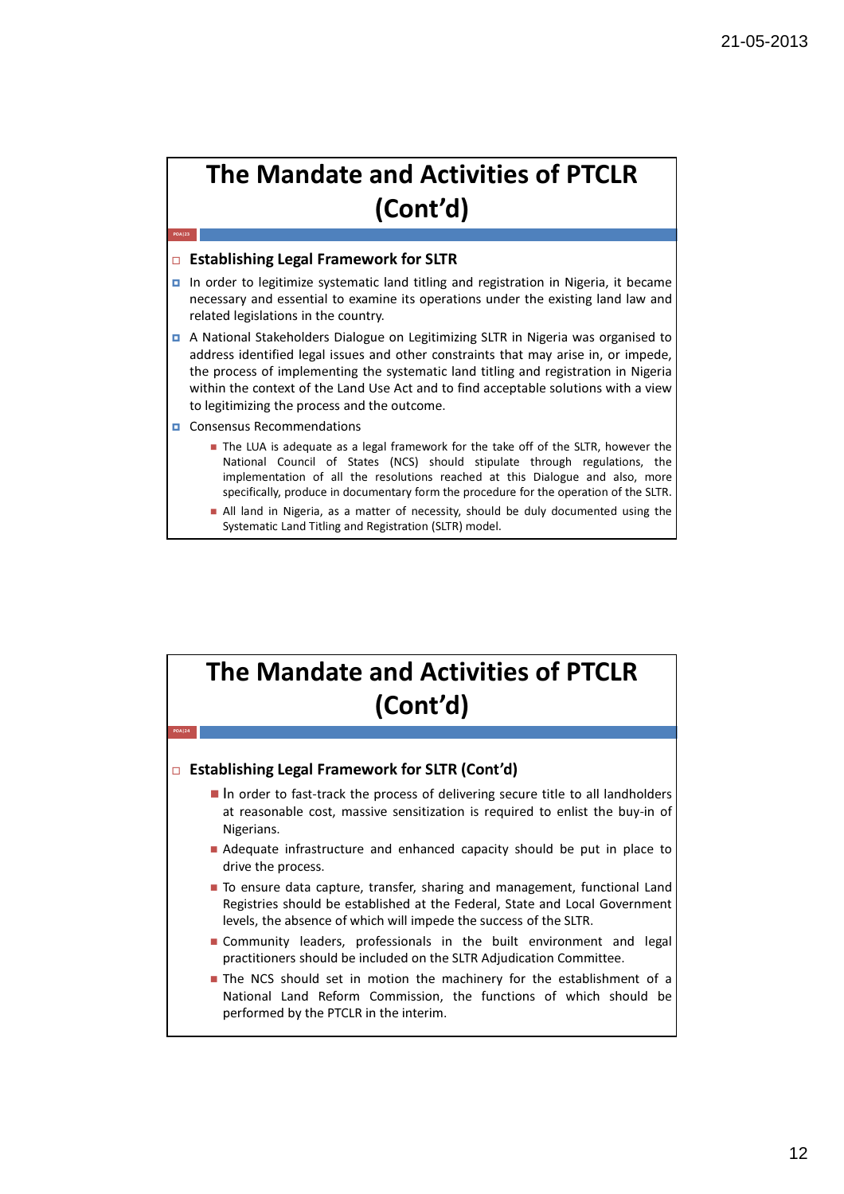#### $\Box$  Establishing Legal Framework for SLTR

- In order to legitimize systematic land titling and registration in Nigeria, it became necessary and essential to examine its operations under the existing land law and related legislations in the country.
- A National Stakeholders Dialogue on Legitimizing SLTR in Nigeria was organised to address identified legal issues and other constraints that may arise in, or impede, the process of implementing the systematic land titling and registration in Nigeria within the context of the Land Use Act and to find acceptable solutions with a view to legitimizing the process and the outcome.
- Consensus Recommendations

POA|23

POA|24

- The LUA is adequate as a legal framework for the take off of the SLTR, however the National Council of States (NCS) should stipulate through regulations, the implementation of all the resolutions reached at this Dialogue and also, more specifically, produce in documentary form the procedure for the operation of the SLTR.
- All land in Nigeria, as a matter of necessity, should be duly documented using the Systematic Land Titling and Registration (SLTR) model.

## The Mandate and Activities of PTCLR (Cont'd)

#### □ Establishing Legal Framework for SLTR (Cont'd)

- In order to fast-track the process of delivering secure title to all landholders at reasonable cost, massive sensitization is required to enlist the buy-in of Nigerians.
- Adequate infrastructure and enhanced capacity should be put in place to drive the process.
- $\blacksquare$  To ensure data capture, transfer, sharing and management, functional Land Registries should be established at the Federal, State and Local Government levels, the absence of which will impede the success of the SLTR.
- Community leaders, professionals in the built environment and legal practitioners should be included on the SLTR Adjudication Committee.
- Ine NCS should set in motion the machinery for the establishment of a National Land Reform Commission, the functions of which should be performed by the PTCLR in the interim.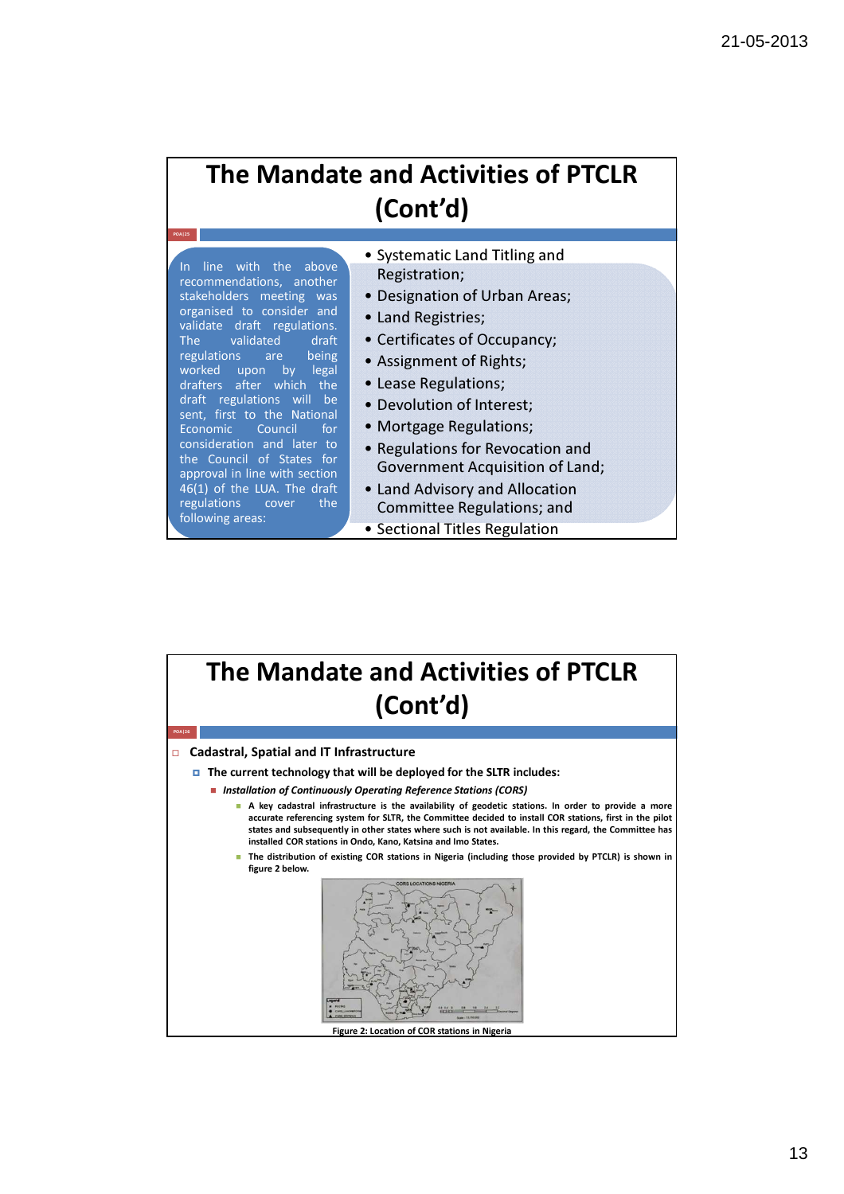In line with the above recommendations, another stakeholders meeting was organised to consider and validate draft regulations. The validated draft regulations are being worked upon by legal drafters after which the draft regulations will be sent, first to the National Economic Council for consideration and later to the Council of States for approval in line with section 46(1) of the LUA. The draft regulations cover the following areas:

- Systematic Land Titling and Registration;
- Designation of Urban Areas;
- Land Registries;
- Certificates of Occupancy;
- Assignment of Rights;
- Lease Regulations;
- Devolution of Interest;
- Mortgage Regulations;
- Regulations for Revocation and Government Acquisition of Land;
- Land Advisory and Allocation Committee Regulations; and
- Sectional Titles Regulation

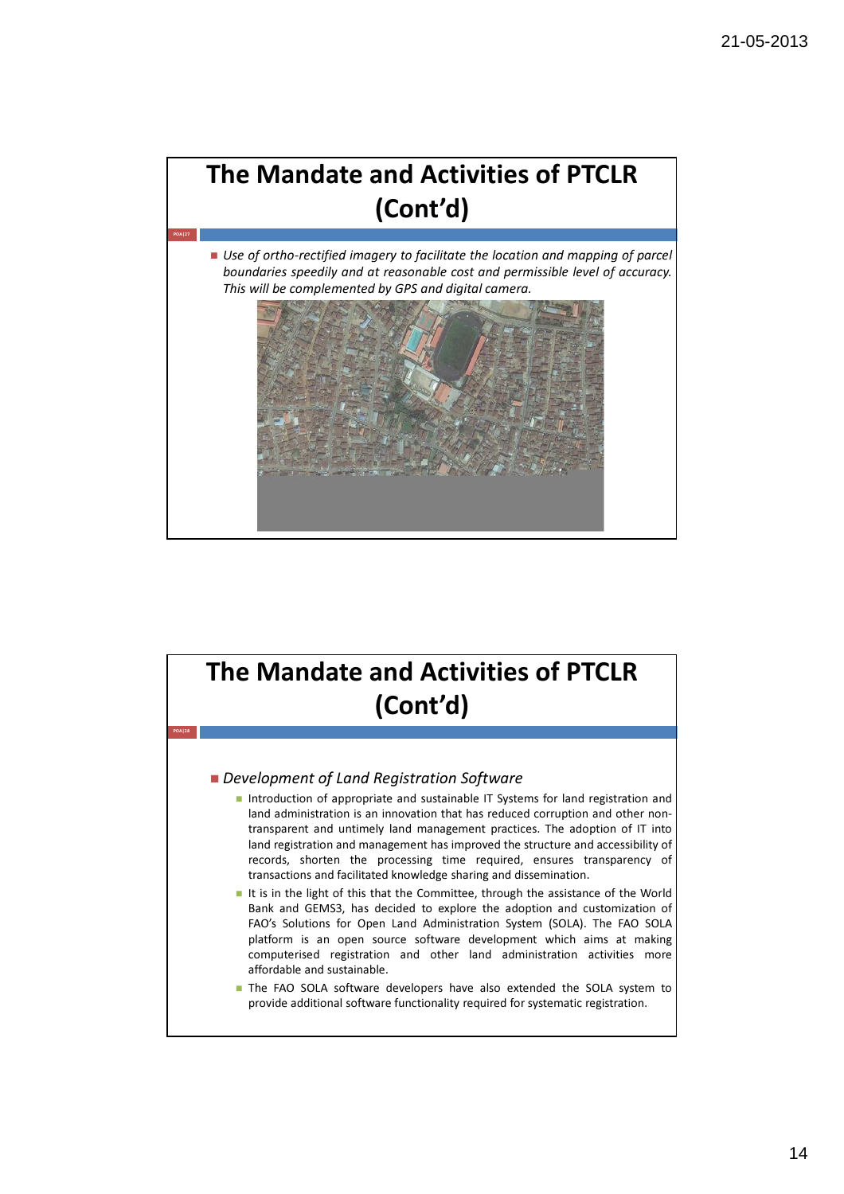

#### Development of Land Registration Software

- Introduction of appropriate and sustainable IT Systems for land registration and land administration is an innovation that has reduced corruption and other nontransparent and untimely land management practices. The adoption of IT into land registration and management has improved the structure and accessibility of records, shorten the processing time required, ensures transparency of transactions and facilitated knowledge sharing and dissemination.
- It is in the light of this that the Committee, through the assistance of the World Bank and GEMS3, has decided to explore the adoption and customization of FAO's Solutions for Open Land Administration System (SOLA). The FAO SOLA platform is an open source software development which aims at making computerised registration and other land administration activities more affordable and sustainable.
- The FAO SOLA software developers have also extended the SOLA system to provide additional software functionality required for systematic registration.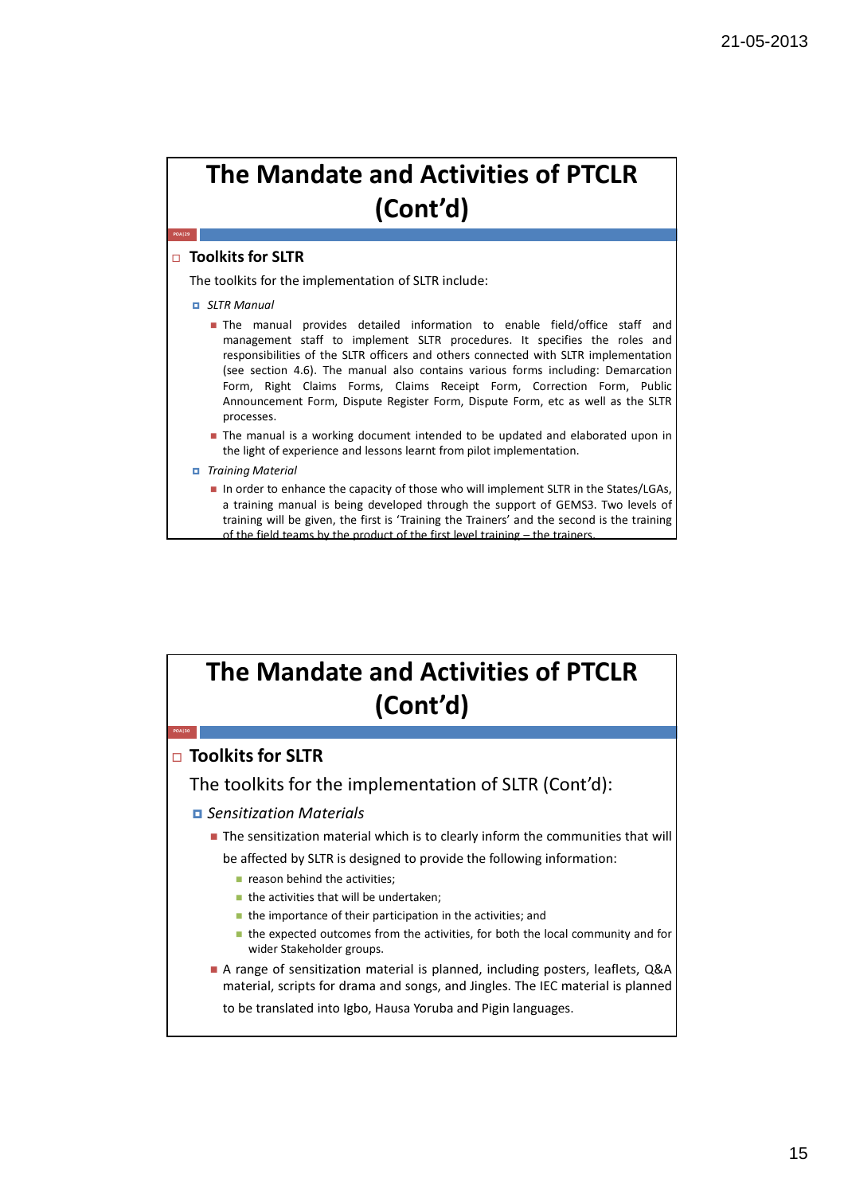#### $\Box$  Toolkits for SLTR

POA|29

The toolkits for the implementation of SLTR include:

- SLTR Manual
	- The manual provides detailed information to enable field/office staff and management staff to implement SLTR procedures. It specifies the roles and responsibilities of the SLTR officers and others connected with SLTR implementation (see section 4.6). The manual also contains various forms including: Demarcation Form, Right Claims Forms, Claims Receipt Form, Correction Form, Public Announcement Form, Dispute Register Form, Dispute Form, etc as well as the SLTR processes.
	- **The manual is a working document intended to be updated and elaborated upon in** the light of experience and lessons learnt from pilot implementation.
- Training Material
	- In order to enhance the capacity of those who will implement SLTR in the States/LGAs, a training manual is being developed through the support of GEMS3. Two levels of training will be given, the first is 'Training the Trainers' and the second is the training of the field teams by the product of the first level training – the trainers.

#### The Mandate and Activities of PTCLR (Cont'd)  $\Box$  Toolkits for SLTR The toolkits for the implementation of SLTR (Cont'd): **D** Sensitization Materials **The sensitization material which is to clearly inform the communities that will** be affected by SLTR is designed to provide the following information:  $\blacksquare$  reason behind the activities:  $\blacksquare$  the activities that will be undertaken;  $\blacksquare$  the importance of their participation in the activities; and ■ the expected outcomes from the activities, for both the local community and for wider Stakeholder groups. A range of sensitization material is planned, including posters, leaflets, Q&A material, scripts for drama and songs, and Jingles. The IEC material is planned to be translated into Igbo, Hausa Yoruba and Pigin languages. POA|30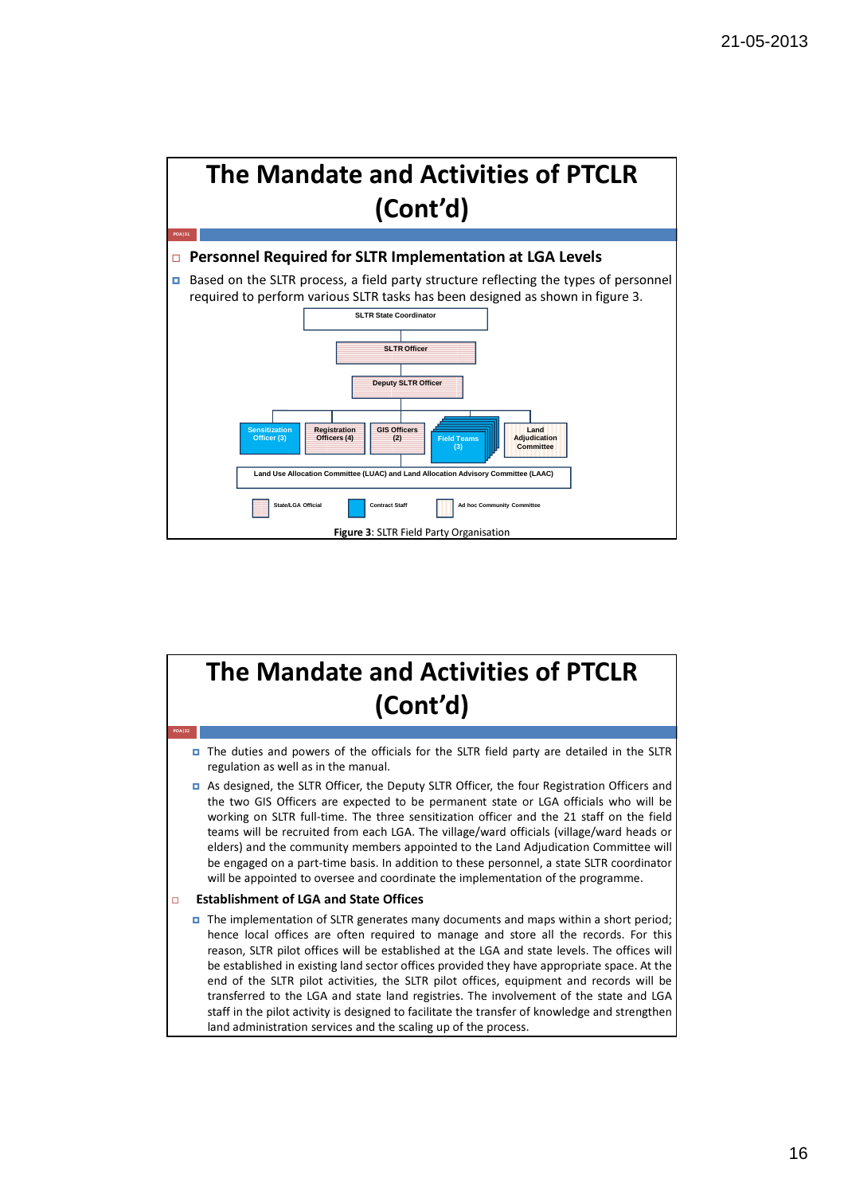

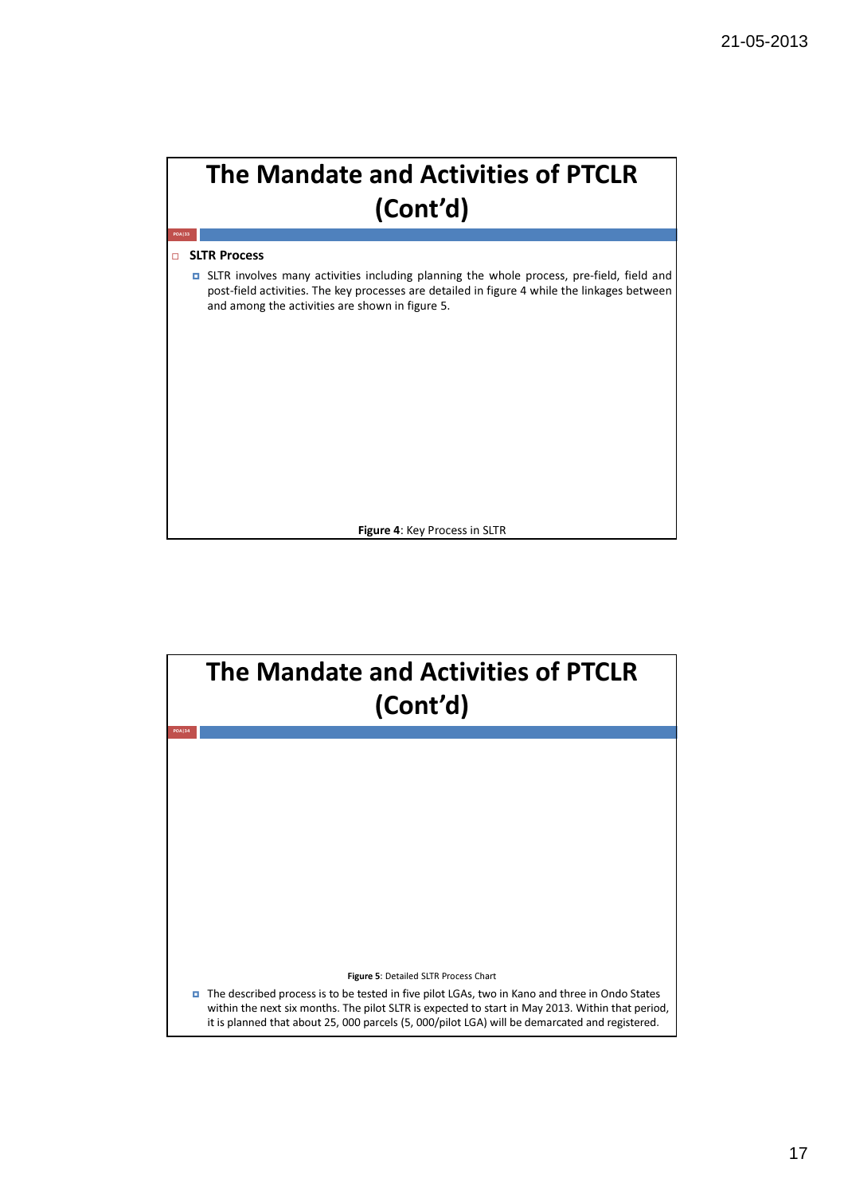

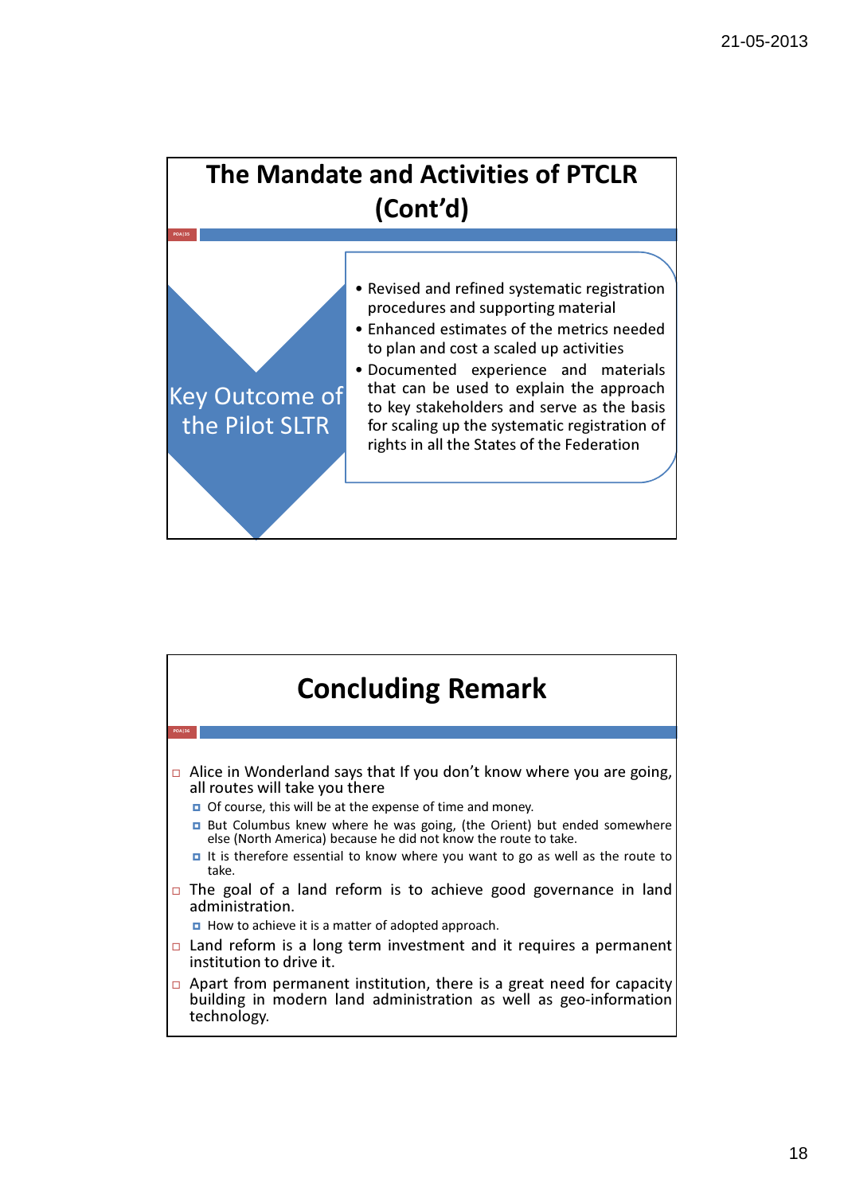